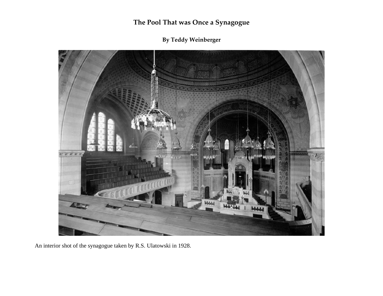**By Teddy Weinberger**



An interior shot of the synagogue taken by R.S. Ulatowski in 1928.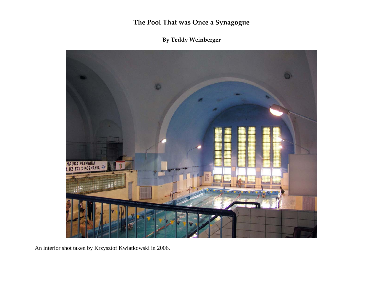## **By Teddy Weinberger**



An interior shot taken by Krzysztof Kwiatkowski in 2006.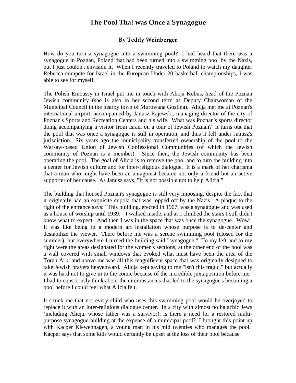#### **By Teddy Weinberger**

How do you turn a synagogue into a swimming pool? I had heard that there was a synagogue in Poznan, Poland that had been turned into a swimming pool by the Nazis, but I just couldn't envision it. When I recently traveled to Poland to watch my daughter Rebecca compete for Israel in the European Under-20 basketball championships, I was able to see for myself.

The Polish Embassy in Israel put me in touch with Alicja Kobus, head of the Poznan Jewish community (she is also in her second term as Deputy Chairwoman of the Municipal Council in the nearby town of Murowana Goslina). Alicja met me at Poznan's international airport, accompanied by Janusz Rajewski, managing director of the city of Poznan's Sports and Recreation Centers and his wife. What was Poznan's sports director doing accompanying a visitor from Israel on a tour of Jewish Poznan? It turns out that the pool that was once a synagogue is still in operation, and thus it fell under Janusz's jurisdiction. Six years ago the municipality transferred ownership of the pool to the Warsaw-based Union of Jewish Confessional Communities (of which the Jewish community of Poznan is a member). Since then, the Jewish community has been operating the pool. The goal of Alicja is to remove the pool and to turn the building into a center for Jewish culture and for inter-religious dialogue. It is a mark of her charisma that a man who might have been an antagonist became not only a friend but an active supporter of her cause. As Janusz says, "It is not possible not to help Alicja."

The building that housed Poznan's synagogue is still very imposing, despite the fact that it originally had an exquisite cupola that was lopped off by the Nazis. A plaque to the right of the entrance says: "This building, erected in 1907, was a synagogue and was used as a house of worship until 1939." I walked inside, and as I climbed the stairs I still didn't know what to expect. And then I was in the space that was once the synagogue. Wow! It was like being in a modern art installation whose purpose is to de-center and destabilize the viewer. There before me was a serene swimming pool (closed for the summer), but everywhere I turned the building said "synagogue." To my left and to my right were the areas designated for the women's sections, at the other end of the pool was a wall covered with small windows that evoked what must have been the area of the Torah Ark, and above me was all this magnificent space that was originally designed to take Jewish prayers heavenward. Alicja kept saying to me "isn't this tragic," but actually it was hard not to give in to the comic because of the incredible juxtaposition before me. I had to consciously think about the circumstances that led to the synagogue's becoming a pool before I could feel what Alicja felt.

It struck me that not every child who uses this swimming pool would be overjoyed to replace it with an inter-religious dialogue center. In a city with almost no halachic Jews (including Alicja, whose father was a survivor), is there a need for a restored multipurpose synagogue building at the expense of a municipal pool? I brought this point up with Kacper Klewenhagen, a young man in his mid twenties who manages the pool. Kacper says that some kids would certainly be upset at the loss of their pool because